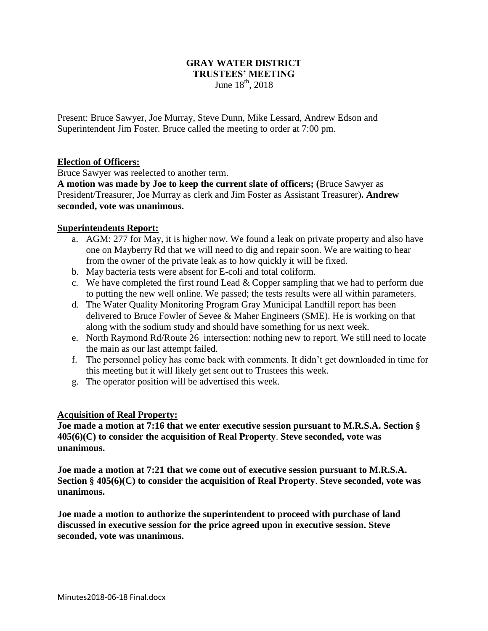## **GRAY WATER DISTRICT TRUSTEES' MEETING** June  $18^{th}$ , 2018

Present: Bruce Sawyer, Joe Murray, Steve Dunn, Mike Lessard, Andrew Edson and Superintendent Jim Foster. Bruce called the meeting to order at 7:00 pm.

# **Election of Officers:**

Bruce Sawyer was reelected to another term.

**A motion was made by Joe to keep the current slate of officers; (**Bruce Sawyer as President/Treasurer, Joe Murray as clerk and Jim Foster as Assistant Treasurer)**. Andrew seconded, vote was unanimous.** 

## **Superintendents Report:**

- a. AGM: 277 for May, it is higher now. We found a leak on private property and also have one on Mayberry Rd that we will need to dig and repair soon. We are waiting to hear from the owner of the private leak as to how quickly it will be fixed.
- b. May bacteria tests were absent for E-coli and total coliform.
- c. We have completed the first round Lead  $&$  Copper sampling that we had to perform due to putting the new well online. We passed; the tests results were all within parameters.
- d. The Water Quality Monitoring Program Gray Municipal Landfill report has been delivered to Bruce Fowler of Sevee & Maher Engineers (SME). He is working on that along with the sodium study and should have something for us next week.
- e. North Raymond Rd/Route 26 intersection: nothing new to report. We still need to locate the main as our last attempt failed.
- f. The personnel policy has come back with comments. It didn't get downloaded in time for this meeting but it will likely get sent out to Trustees this week.
- g. The operator position will be advertised this week.

#### **Acquisition of Real Property:**

**Joe made a motion at 7:16 that we enter executive session pursuant to M.R.S.A. Section § 405(6)(C) to consider the acquisition of Real Property**. **Steve seconded, vote was unanimous.**

**Joe made a motion at 7:21 that we come out of executive session pursuant to M.R.S.A. Section § 405(6)(C) to consider the acquisition of Real Property**. **Steve seconded, vote was unanimous.**

**Joe made a motion to authorize the superintendent to proceed with purchase of land discussed in executive session for the price agreed upon in executive session. Steve seconded, vote was unanimous.**